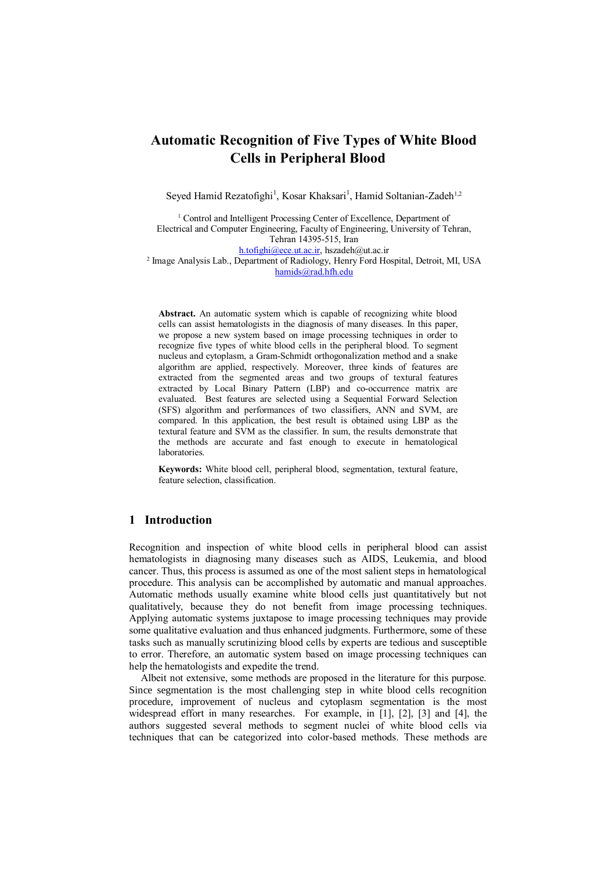# **Automatic Recognition of Five Types of White Blood Cells in Peripheral Blood**

Seyed Hamid Rezatofighi<sup>1</sup>, Kosar Khaksari<sup>1</sup>, Hamid Soltanian-Zadeh<sup>1,2</sup>

<sup>1</sup> Control and Intelligent Processing Center of Excellence, Department of Electrical and Computer Engineering, Faculty of Engineering, University of Tehran, Tehran 14395-515, Iran

[h.tofighi@ece.ut.ac.ir,](mailto:h.tofighi@ece.ut.ac.ir) hszadeh@ut.ac.ir 2 Image Analysis Lab., Department of Radiology, Henry Ford Hospital, Detroit, MI, USA [hamids@rad.hfh.edu](mailto:hamids@rad.hfh.edu)

**Abstract.** An automatic system which is capable of recognizing white blood cells can assist hematologists in the diagnosis of many diseases. In this paper, we propose a new system based on image processing techniques in order to recognize five types of white blood cells in the peripheral blood. To segment nucleus and cytoplasm, a Gram-Schmidt orthogonalization method and a snake algorithm are applied, respectively. Moreover, three kinds of features are extracted from the segmented areas and two groups of textural features extracted by Local Binary Pattern (LBP) and co-occurrence matrix are evaluated. Best features are selected using a Sequential Forward Selection (SFS) algorithm and performances of two classifiers, ANN and SVM, are compared. In this application, the best result is obtained using LBP as the textural feature and SVM as the classifier. In sum, the results demonstrate that the methods are accurate and fast enough to execute in hematological **laboratories** 

**Keywords:** White blood cell, peripheral blood, segmentation, textural feature, feature selection, classification.

# **1 Introduction**

Recognition and inspection of white blood cells in peripheral blood can assist hematologists in diagnosing many diseases such as AIDS, Leukemia, and blood cancer. Thus, this process is assumed as one of the most salient steps in hematological procedure. This analysis can be accomplished by automatic and manual approaches. Automatic methods usually examine white blood cells just quantitatively but not qualitatively, because they do not benefit from image processing techniques. Applying automatic systems juxtapose to image processing techniques may provide some qualitative evaluation and thus enhanced judgments. Furthermore, some of these tasks such as manually scrutinizing blood cells by experts are tedious and susceptible to error. Therefore, an automatic system based on image processing techniques can help the hematologists and expedite the trend.

Albeit not extensive, some methods are proposed in the literature for this purpose. Since segmentation is the most challenging step in white blood cells recognition procedure, improvement of nucleus and cytoplasm segmentation is the most widespread effort in many researches. For example, in  $\begin{bmatrix} 1 \end{bmatrix}$ ,  $\begin{bmatrix} 2 \end{bmatrix}$ ,  $\begin{bmatrix} 3 \end{bmatrix}$  and  $\begin{bmatrix} 4 \end{bmatrix}$ , the authors suggested several methods to segment nuclei of white blood cells via techniques that can be categorized into color-based methods. These methods are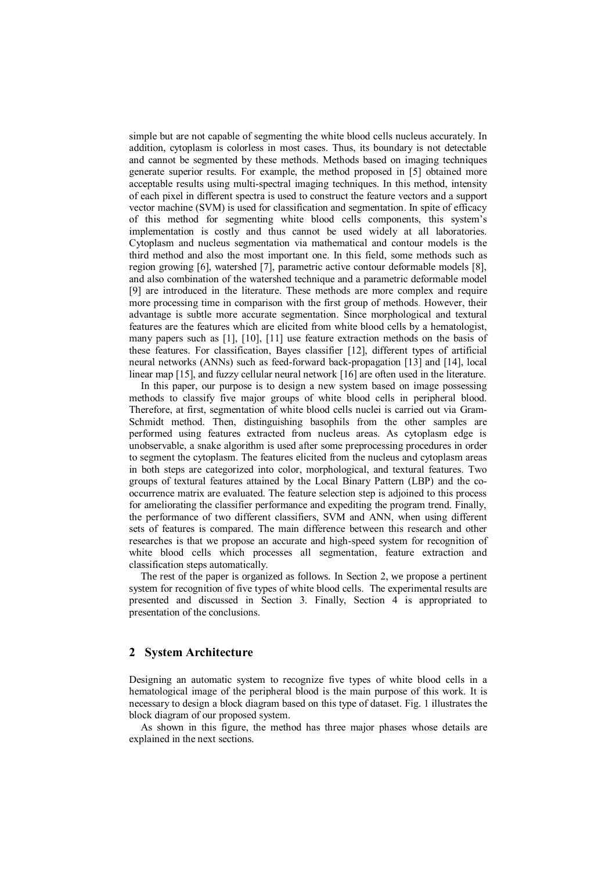simple but are not capable of segmenting the white blood cells nucleus accurately. In addition, cytoplasm is colorless in most cases. Thus, its boundary is not detectable and cannot be segmented by these methods. Methods based on imaging techniques generate superior results. For example, the method proposed in [5] obtained more acceptable results using multi-spectral imaging techniques. In this method, intensity of each pixel in different spectra is used to construct the feature vectors and a support vector machine (SVM) is used for classification and segmentation. In spite of efficacy of this method for segmenting white blood cells components, this system's implementation is costly and thus cannot be used widely at all laboratories. Cytoplasm and nucleus segmentation via mathematical and contour models is the third method and also the most important one. In this field, some methods such as region growing [6], watershed [7], parametric active contour deformable models [8], and also combination of the watershed technique and a parametric deformable model [9] are introduced in the literature. These methods are more complex and require more processing time in comparison with the first group of methods. However, their advantage is subtle more accurate segmentation. Since morphological and textural features are the features which are elicited from white blood cells by a hematologist, many papers such as [1], [10], [11] use feature extraction methods on the basis of these features. For classification, Bayes classifier [12], different types of artificial neural networks (ANNs) such as feed-forward back-propagation [13] and [14], local linear map [15], and fuzzy cellular neural network [16] are often used in the literature.

In this paper, our purpose is to design a new system based on image possessing methods to classify five major groups of white blood cells in peripheral blood. Therefore, at first, segmentation of white blood cells nuclei is carried out via Gram-Schmidt method. Then, distinguishing basophils from the other samples are performed using features extracted from nucleus areas. As cytoplasm edge is unobservable, a snake algorithm is used after some preprocessing procedures in order to segment the cytoplasm. The features elicited from the nucleus and cytoplasm areas in both steps are categorized into color, morphological, and textural features. Two groups of textural features attained by the Local Binary Pattern (LBP) and the cooccurrence matrix are evaluated. The feature selection step is adjoined to this process for ameliorating the classifier performance and expediting the program trend. Finally, the performance of two different classifiers, SVM and ANN, when using different sets of features is compared. The main difference between this research and other researches is that we propose an accurate and high-speed system for recognition of white blood cells which processes all segmentation, feature extraction and classification steps automatically.

The rest of the paper is organized as follows. In Section 2, we propose a pertinent system for recognition of five types of white blood cells. The experimental results are presented and discussed in Section 3. Finally, Section 4 is appropriated to presentation of the conclusions.

## **2 System Architecture**

Designing an automatic system to recognize five types of white blood cells in a hematological image of the peripheral blood is the main purpose of this work. It is necessary to design a block diagram based on this type of dataset. Fig. 1 illustrates the block diagram of our proposed system.

As shown in this figure, the method has three major phases whose details are explained in the next sections.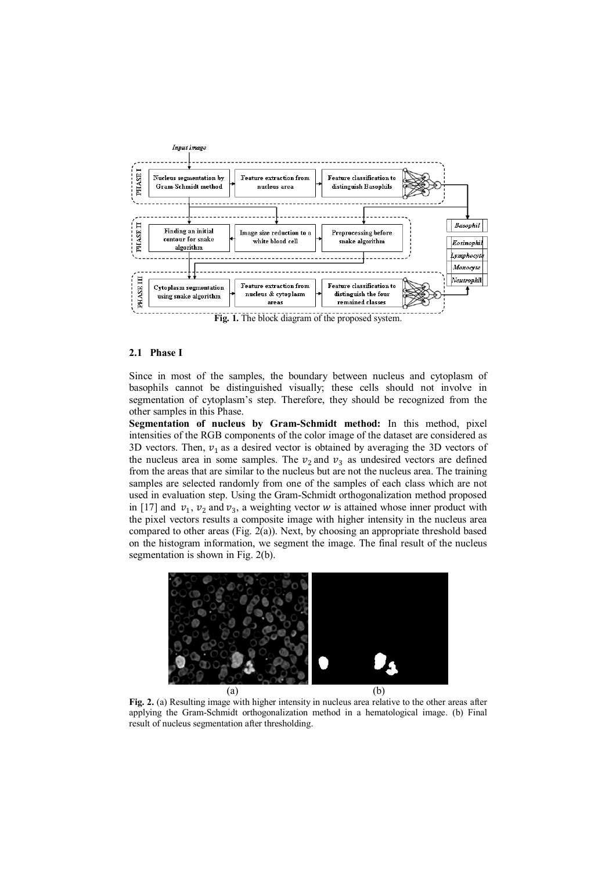

**Fig. 1.** The block diagram of the proposed system.

### **2.1 Phase I**

Since in most of the samples, the boundary between nucleus and cytoplasm of basophils cannot be distinguished visually; these cells should not involve in segmentation of cytoplasm's step. Therefore, they should be recognized from the other samples in this Phase.

**Segmentation of nucleus by Gram-Schmidt method:** In this method, pixel intensities of the RGB components of the color image of the dataset are considered as 3D vectors. Then,  $v_1$  as a desired vector is obtained by averaging the 3D vectors of the nucleus area in some samples. The  $v_2$  and  $v_3$  as undesired vectors are defined from the areas that are similar to the nucleus but are not the nucleus area. The training samples are selected randomly from one of the samples of each class which are not used in evaluation step. Using the Gram-Schmidt orthogonalization method proposed in [17] and  $v_1$ ,  $v_2$  and  $v_3$ , a weighting vector w is attained whose inner product with the pixel vectors results a composite image with higher intensity in the nucleus area compared to other areas (Fig. 2(a)). Next, by choosing an appropriate threshold based on the histogram information, we segment the image. The final result of the nucleus segmentation is shown in Fig. 2(b).



**Fig. 2.** (a) Resulting image with higher intensity in nucleus area relative to the other areas after applying the Gram-Schmidt orthogonalization method in a hematological image. (b) Final result of nucleus segmentation after thresholding.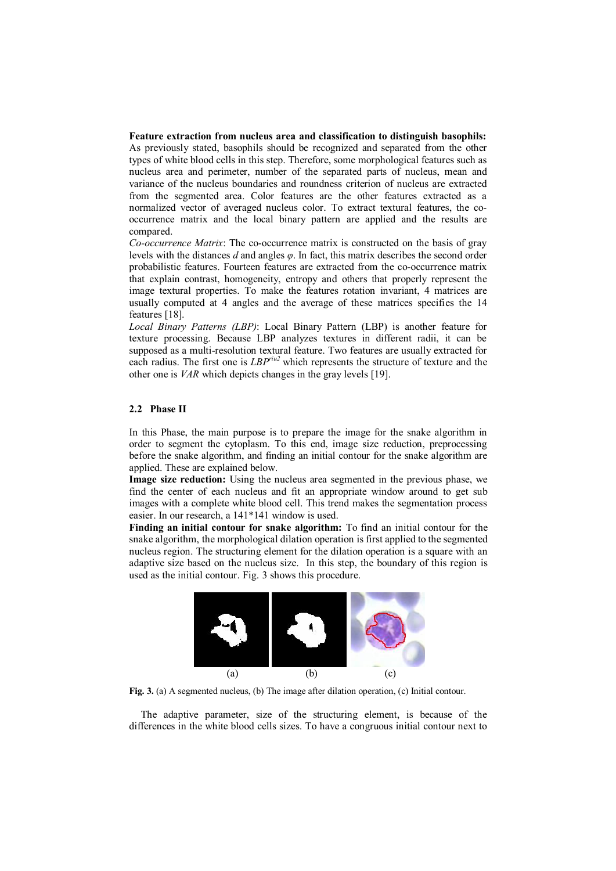**Feature extraction from nucleus area and classification to distinguish basophils:** As previously stated, basophils should be recognized and separated from the other types of white blood cells in this step. Therefore, some morphological features such as nucleus area and perimeter, number of the separated parts of nucleus, mean and variance of the nucleus boundaries and roundness criterion of nucleus are extracted from the segmented area. Color features are the other features extracted as a normalized vector of averaged nucleus color. To extract textural features, the cooccurrence matrix and the local binary pattern are applied and the results are compared.

*Co-occurrence Matrix*: The co-occurrence matrix is constructed on the basis of gray levels with the distances *d* and angles *φ*. In fact, this matrix describes the second order probabilistic features. Fourteen features are extracted from the co-occurrence matrix that explain contrast, homogeneity, entropy and others that properly represent the image textural properties. To make the features rotation invariant, 4 matrices are usually computed at 4 angles and the average of these matrices specifies the 14 features [18].

*Local Binary Patterns (LBP)*: Local Binary Pattern (LBP) is another feature for texture processing. Because LBP analyzes textures in different radii, it can be supposed as a multi-resolution textural feature. Two features are usually extracted for each radius. The first one is *LBPriu2* which represents the structure of texture and the other one is *VAR* which depicts changes in the gray levels [19].

#### **2.2 Phase II**

In this Phase, the main purpose is to prepare the image for the snake algorithm in order to segment the cytoplasm. To this end, image size reduction, preprocessing before the snake algorithm, and finding an initial contour for the snake algorithm are applied. These are explained below.

**Image size reduction:** Using the nucleus area segmented in the previous phase, we find the center of each nucleus and fit an appropriate window around to get sub images with a complete white blood cell. This trend makes the segmentation process easier. In our research, a 141\*141 window is used.

**Finding an initial contour for snake algorithm:** To find an initial contour for the snake algorithm, the morphological dilation operation is first applied to the segmented nucleus region. The structuring element for the dilation operation is a square with an adaptive size based on the nucleus size. In this step, the boundary of this region is used as the initial contour. Fig. 3 shows this procedure.



**Fig. 3.** (a) A segmented nucleus, (b) The image after dilation operation, (c) Initial contour.

The adaptive parameter, size of the structuring element, is because of the differences in the white blood cells sizes. To have a congruous initial contour next to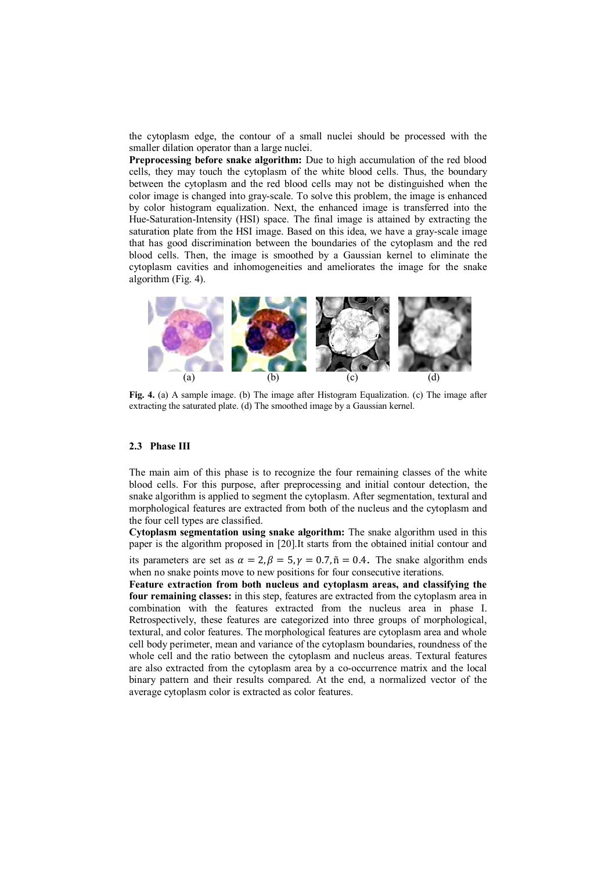the cytoplasm edge, the contour of a small nuclei should be processed with the smaller dilation operator than a large nuclei.

**Preprocessing before snake algorithm:** Due to high accumulation of the red blood cells, they may touch the cytoplasm of the white blood cells. Thus, the boundary between the cytoplasm and the red blood cells may not be distinguished when the color image is changed into gray-scale. To solve this problem, the image is enhanced by color histogram equalization. Next, the enhanced image is transferred into the Hue-Saturation-Intensity (HSI) space. The final image is attained by extracting the saturation plate from the HSI image. Based on this idea, we have a gray-scale image that has good discrimination between the boundaries of the cytoplasm and the red blood cells. Then, the image is smoothed by a Gaussian kernel to eliminate the cytoplasm cavities and inhomogeneities and ameliorates the image for the snake algorithm (Fig. 4).



**Fig. 4.** (a) A sample image. (b) The image after Histogram Equalization. (c) The image after extracting the saturated plate. (d) The smoothed image by a Gaussian kernel.

#### **2.3 Phase III**

The main aim of this phase is to recognize the four remaining classes of the white blood cells. For this purpose, after preprocessing and initial contour detection, the snake algorithm is applied to segment the cytoplasm. After segmentation, textural and morphological features are extracted from both of the nucleus and the cytoplasm and the four cell types are classified.

**Cytoplasm segmentation using snake algorithm:** The snake algorithm used in this paper is the algorithm proposed in [20].It starts from the obtained initial contour and its parameters are set as  $\alpha = 2, \beta = 5, \gamma = 0.7, \tilde{n} = 0.4$ . The snake algorithm ends when no snake points move to new positions for four consecutive iterations.

**Feature extraction from both nucleus and cytoplasm areas, and classifying the four remaining classes:** in this step, features are extracted from the cytoplasm area in combination with the features extracted from the nucleus area in phase I. Retrospectively, these features are categorized into three groups of morphological, textural, and color features. The morphological features are cytoplasm area and whole cell body perimeter, mean and variance of the cytoplasm boundaries, roundness of the whole cell and the ratio between the cytoplasm and nucleus areas. Textural features are also extracted from the cytoplasm area by a co-occurrence matrix and the local binary pattern and their results compared. At the end, a normalized vector of the average cytoplasm color is extracted as color features.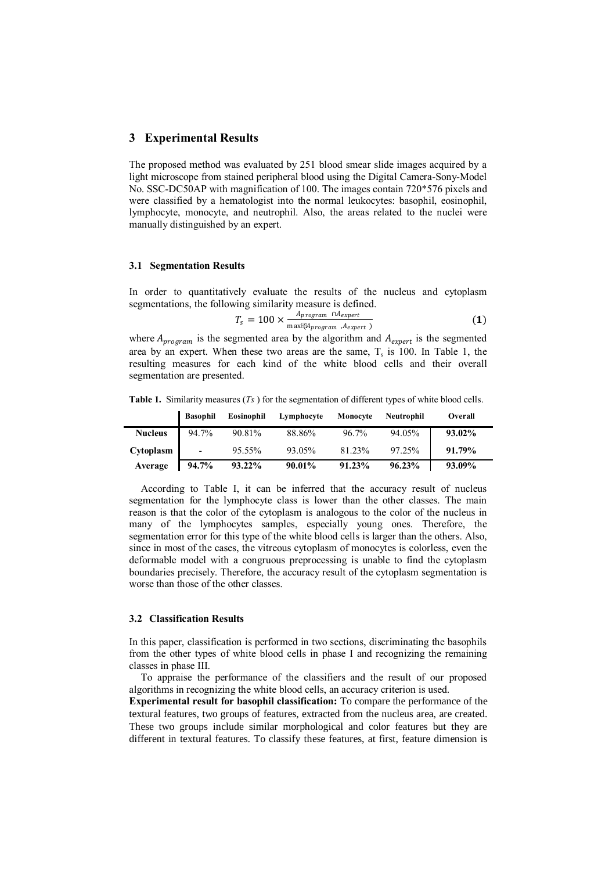## **3 Experimental Results**

The proposed method was evaluated by 251 blood smear slide images acquired by a light microscope from stained peripheral blood using the Digital Camera-Sony-Model No. SSC-DC50AP with magnification of 100. The images contain 720\*576 pixels and were classified by a hematologist into the normal leukocytes: basophil, eosinophil, lymphocyte, monocyte, and neutrophil. Also, the areas related to the nuclei were manually distinguished by an expert.

### **3.1 Segmentation Results**

In order to quantitatively evaluate the results of the nucleus and cytoplasm segmentations, the following similarity measure is defined.

$$
T_s = 100 \times \frac{A_{program} \cap A_{expert}}{\max(\mathbb{R}^d_{program} \dots A_{expert})}
$$
 (1)

where  $A_{program}$  is the segmented area by the algorithm and  $A_{expert}$  is the segmented area by an expert. When these two areas are the same,  $T_s$  is 100. In Table 1, the resulting measures for each kind of the white blood cells and their overall segmentation are presented.

**Table 1.** Similarity measures (*Ts* ) for the segmentation of different types of white blood cells.

|                | Basophil | Eosinophil | Lymphocyte | Monocyte | Neutrophil | Overall |
|----------------|----------|------------|------------|----------|------------|---------|
| <b>Nucleus</b> | 94.7%    | 90.81%     | 88.86%     | 96.7%    | 94.05%     | 93.02%  |
| Cytoplasm      | $\sim$   | 95.55%     | 93.05%     | 81.23%   | 97.25%     | 91.79%  |
| Average        | 94.7%    | 93.22%     | 90.01%     | 91.23%   | 96.23%     | 93.09%  |

According to Table I, it can be inferred that the accuracy result of nucleus segmentation for the lymphocyte class is lower than the other classes. The main reason is that the color of the cytoplasm is analogous to the color of the nucleus in many of the lymphocytes samples, especially young ones. Therefore, the segmentation error for this type of the white blood cells is larger than the others. Also, since in most of the cases, the vitreous cytoplasm of monocytes is colorless, even the deformable model with a congruous preprocessing is unable to find the cytoplasm boundaries precisely. Therefore, the accuracy result of the cytoplasm segmentation is worse than those of the other classes.

## **3.2 Classification Results**

In this paper, classification is performed in two sections, discriminating the basophils from the other types of white blood cells in phase I and recognizing the remaining classes in phase III.

To appraise the performance of the classifiers and the result of our proposed algorithms in recognizing the white blood cells, an accuracy criterion is used.

**Experimental result for basophil classification:** To compare the performance of the textural features, two groups of features, extracted from the nucleus area, are created. These two groups include similar morphological and color features but they are different in textural features. To classify these features, at first, feature dimension is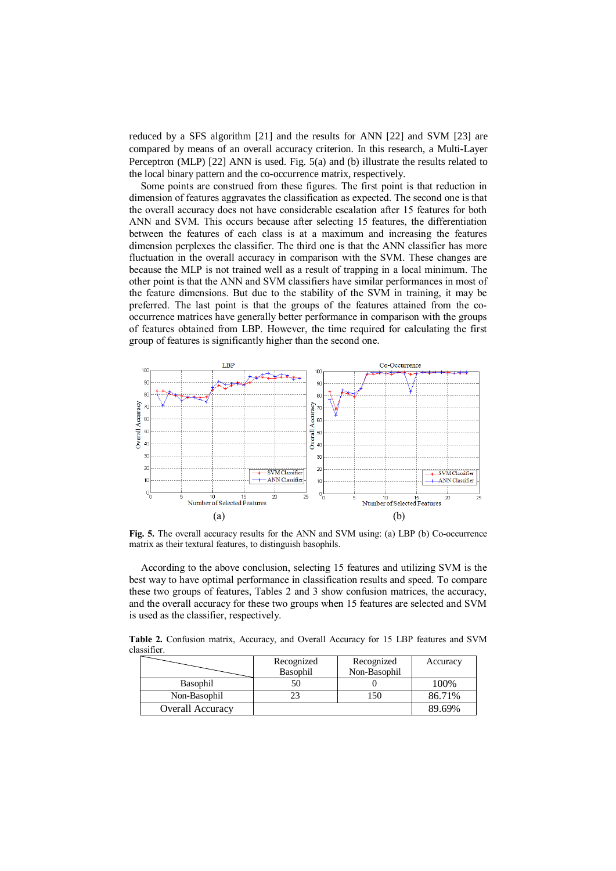reduced by a SFS algorithm [21] and the results for ANN [22] and SVM [23] are compared by means of an overall accuracy criterion. In this research, a Multi-Layer Perceptron (MLP) [22] ANN is used. Fig. 5(a) and (b) illustrate the results related to the local binary pattern and the co-occurrence matrix, respectively.

Some points are construed from these figures. The first point is that reduction in dimension of features aggravates the classification as expected. The second one is that the overall accuracy does not have considerable escalation after 15 features for both ANN and SVM. This occurs because after selecting 15 features, the differentiation between the features of each class is at a maximum and increasing the features dimension perplexes the classifier. The third one is that the ANN classifier has more fluctuation in the overall accuracy in comparison with the SVM. These changes are because the MLP is not trained well as a result of trapping in a local minimum. The other point is that the ANN and SVM classifiers have similar performances in most of the feature dimensions. But due to the stability of the SVM in training, it may be preferred. The last point is that the groups of the features attained from the cooccurrence matrices have generally better performance in comparison with the groups of features obtained from LBP. However, the time required for calculating the first group of features is significantly higher than the second one.



**Fig. 5.** The overall accuracy results for the ANN and SVM using: (a) LBP (b) Co-occurrence matrix as their textural features, to distinguish basophils.

According to the above conclusion, selecting 15 features and utilizing SVM is the best way to have optimal performance in classification results and speed. To compare these two groups of features, Tables 2 and 3 show confusion matrices, the accuracy, and the overall accuracy for these two groups when 15 features are selected and SVM is used as the classifier, respectively.

**Table 2.** Confusion matrix, Accuracy, and Overall Accuracy for 15 LBP features and SVM classifier.

|                         | Recognized | Recognized   | Accuracy |
|-------------------------|------------|--------------|----------|
|                         | Basophil   | Non-Basophil |          |
| <b>Basophil</b>         |            |              | 100%     |
| Non-Basophil            |            | .50          | 86.71%   |
| <b>Overall Accuracy</b> |            |              | 89.69%   |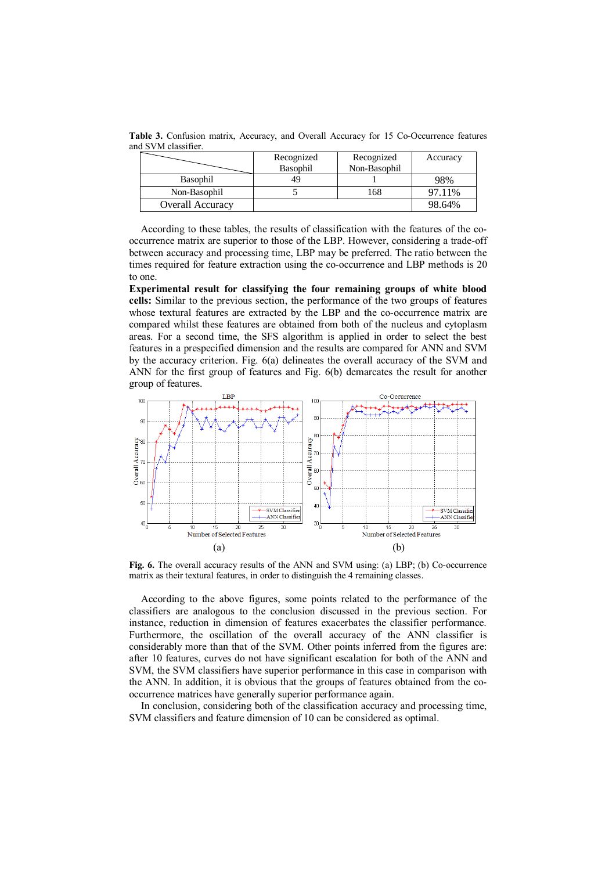**Table 3.** Confusion matrix, Accuracy, and Overall Accuracy for 15 Co-Occurrence features and SVM classifier.

|                         | Recognized | Recognized   | Accuracy |
|-------------------------|------------|--------------|----------|
|                         | Basophil   | Non-Basophil |          |
| Basophil                | 49         |              | 98%      |
| Non-Basophil            |            | 168          | 97.11%   |
| <b>Overall Accuracy</b> |            |              | 98.64%   |

According to these tables, the results of classification with the features of the cooccurrence matrix are superior to those of the LBP. However, considering a trade-off between accuracy and processing time, LBP may be preferred. The ratio between the times required for feature extraction using the co-occurrence and LBP methods is 20 to one.

**Experimental result for classifying the four remaining groups of white blood cells:** Similar to the previous section, the performance of the two groups of features whose textural features are extracted by the LBP and the co-occurrence matrix are compared whilst these features are obtained from both of the nucleus and cytoplasm areas. For a second time, the SFS algorithm is applied in order to select the best features in a prespecified dimension and the results are compared for ANN and SVM by the accuracy criterion. Fig. 6(a) delineates the overall accuracy of the SVM and ANN for the first group of features and Fig. 6(b) demarcates the result for another group of features.



**Fig. 6.** The overall accuracy results of the ANN and SVM using: (a) LBP; (b) Co-occurrence matrix as their textural features, in order to distinguish the 4 remaining classes.

According to the above figures, some points related to the performance of the classifiers are analogous to the conclusion discussed in the previous section. For instance, reduction in dimension of features exacerbates the classifier performance. Furthermore, the oscillation of the overall accuracy of the ANN classifier is considerably more than that of the SVM. Other points inferred from the figures are: after 10 features, curves do not have significant escalation for both of the ANN and SVM, the SVM classifiers have superior performance in this case in comparison with the ANN. In addition, it is obvious that the groups of features obtained from the cooccurrence matrices have generally superior performance again.

In conclusion, considering both of the classification accuracy and processing time, SVM classifiers and feature dimension of 10 can be considered as optimal.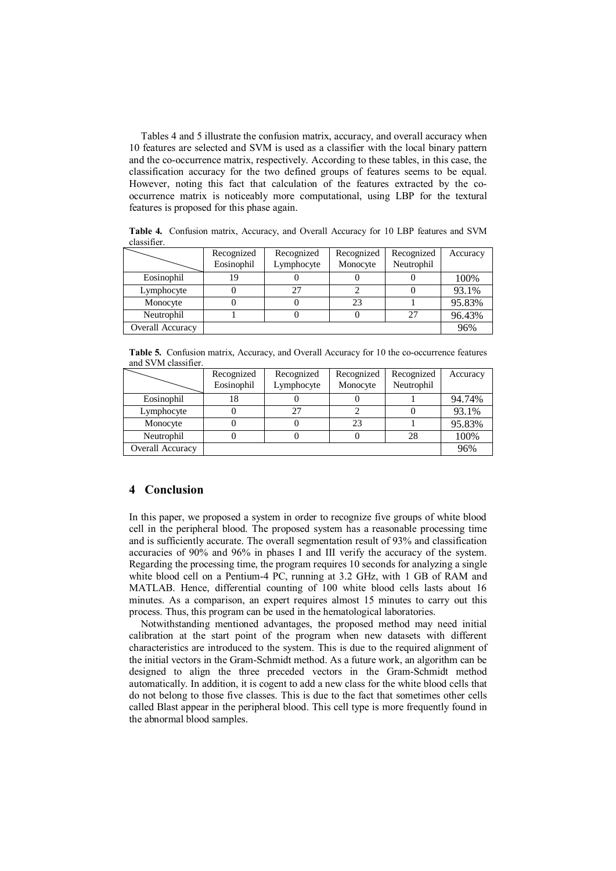Tables 4 and 5 illustrate the confusion matrix, accuracy, and overall accuracy when 10 features are selected and SVM is used as a classifier with the local binary pattern and the co-occurrence matrix, respectively. According to these tables, in this case, the classification accuracy for the two defined groups of features seems to be equal. However, noting this fact that calculation of the features extracted by the cooccurrence matrix is noticeably more computational, using LBP for the textural features is proposed for this phase again.

**Table 4.** Confusion matrix, Accuracy, and Overall Accuracy for 10 LBP features and SVM classifier.

|                  | Recognized<br>Eosinophil | Recognized<br>Lymphocyte | Recognized<br>Monocyte | Recognized<br>Neutrophil | Accuracy |
|------------------|--------------------------|--------------------------|------------------------|--------------------------|----------|
| Eosinophil       | 19                       |                          |                        |                          | 100%     |
| Lymphocyte       |                          | 27                       |                        |                          | 93.1%    |
| Monocyte         |                          |                          | 23                     |                          | 95.83%   |
| Neutrophil       |                          |                          |                        | 27                       | 96.43%   |
| Overall Accuracy |                          |                          |                        |                          | 96%      |

Table 5. Confusion matrix, Accuracy, and Overall Accuracy for 10 the co-occurrence features and SVM classifier.

|                  | Recognized<br>Eosinophil | Recognized<br>Lymphocyte | Recognized<br>Monocyte | Recognized<br>Neutrophil | Accuracy |
|------------------|--------------------------|--------------------------|------------------------|--------------------------|----------|
| Eosinophil       | 18                       |                          |                        |                          | 94.74%   |
| Lymphocyte       |                          | 27                       |                        |                          | 93.1%    |
| Monocyte         |                          |                          | 23                     |                          | 95.83%   |
| Neutrophil       |                          |                          |                        | 28                       | 100%     |
| Overall Accuracy |                          |                          |                        |                          | 96%      |

# **4 Conclusion**

In this paper, we proposed a system in order to recognize five groups of white blood cell in the peripheral blood. The proposed system has a reasonable processing time and is sufficiently accurate. The overall segmentation result of 93% and classification accuracies of 90% and 96% in phases I and III verify the accuracy of the system. Regarding the processing time, the program requires 10 seconds for analyzing a single white blood cell on a Pentium-4 PC, running at 3.2 GHz, with 1 GB of RAM and MATLAB. Hence, differential counting of 100 white blood cells lasts about 16 minutes. As a comparison, an expert requires almost 15 minutes to carry out this process. Thus, this program can be used in the hematological laboratories.

Notwithstanding mentioned advantages, the proposed method may need initial calibration at the start point of the program when new datasets with different characteristics are introduced to the system. This is due to the required alignment of the initial vectors in the Gram-Schmidt method. As a future work, an algorithm can be designed to align the three preceded vectors in the Gram-Schmidt method automatically. In addition, it is cogent to add a new class for the white blood cells that do not belong to those five classes. This is due to the fact that sometimes other cells called Blast appear in the peripheral blood. This cell type is more frequently found in the abnormal blood samples.